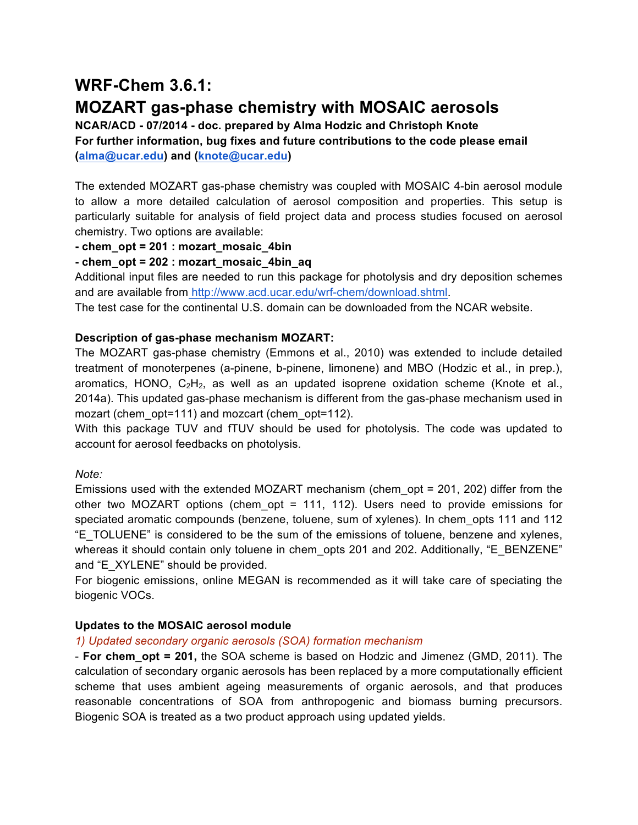# **WRF-Chem 3.6.1:**

# **MOZART gas-phase chemistry with MOSAIC aerosols**

**NCAR/ACD - 07/2014 - doc. prepared by Alma Hodzic and Christoph Knote For further information, bug fixes and future contributions to the code please email (alma@ucar.edu) and (knote@ucar.edu)**

The extended MOZART gas-phase chemistry was coupled with MOSAIC 4-bin aerosol module to allow a more detailed calculation of aerosol composition and properties. This setup is particularly suitable for analysis of field project data and process studies focused on aerosol chemistry. Two options are available:

## **- chem\_opt = 201 : mozart\_mosaic\_4bin**

# **- chem\_opt = 202 : mozart\_mosaic\_4bin\_aq**

Additional input files are needed to run this package for photolysis and dry deposition schemes and are available from http://www.acd.ucar.edu/wrf-chem/download.shtml.

The test case for the continental U.S. domain can be downloaded from the NCAR website.

## **Description of gas-phase mechanism MOZART:**

The MOZART gas-phase chemistry (Emmons et al., 2010) was extended to include detailed treatment of monoterpenes (a-pinene, b-pinene, limonene) and MBO (Hodzic et al., in prep.), aromatics, HONO,  $C_2H_2$ , as well as an updated isoprene oxidation scheme (Knote et al., 2014a). This updated gas-phase mechanism is different from the gas-phase mechanism used in mozart (chem\_opt=111) and mozcart (chem\_opt=112).

With this package TUV and fTUV should be used for photolysis. The code was updated to account for aerosol feedbacks on photolysis.

## *Note:*

Emissions used with the extended MOZART mechanism (chem\_opt = 201, 202) differ from the other two MOZART options (chem\_opt = 111, 112). Users need to provide emissions for speciated aromatic compounds (benzene, toluene, sum of xylenes). In chem opts 111 and 112 "E\_TOLUENE" is considered to be the sum of the emissions of toluene, benzene and xylenes, whereas it should contain only toluene in chem opts 201 and 202. Additionally, "E\_BENZENE" and "E\_XYLENE" should be provided.

For biogenic emissions, online MEGAN is recommended as it will take care of speciating the biogenic VOCs.

# **Updates to the MOSAIC aerosol module**

## *1) Updated secondary organic aerosols (SOA) formation mechanism*

- **For chem\_opt = 201,** the SOA scheme is based on Hodzic and Jimenez (GMD, 2011). The calculation of secondary organic aerosols has been replaced by a more computationally efficient scheme that uses ambient ageing measurements of organic aerosols, and that produces reasonable concentrations of SOA from anthropogenic and biomass burning precursors. Biogenic SOA is treated as a two product approach using updated yields.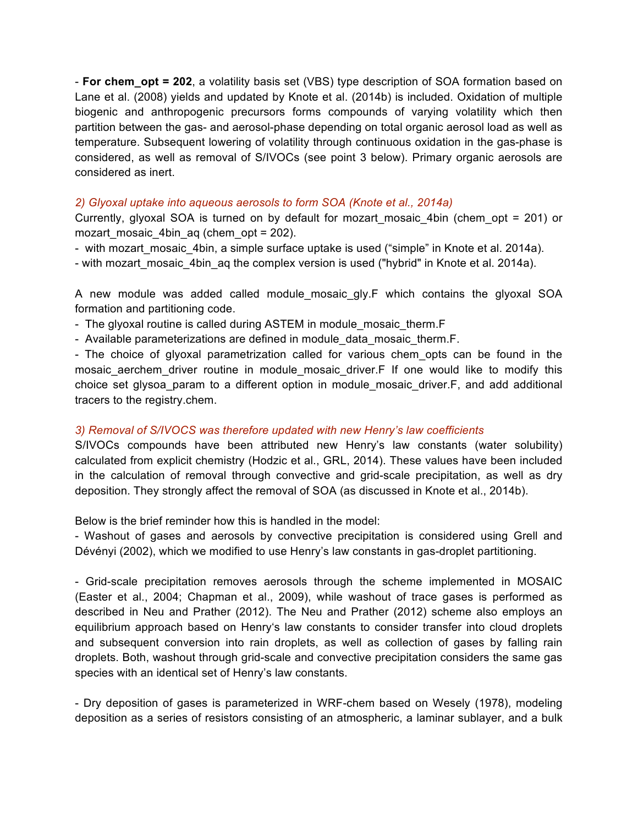- **For chem\_opt = 202**, a volatility basis set (VBS) type description of SOA formation based on Lane et al. (2008) yields and updated by Knote et al. (2014b) is included. Oxidation of multiple biogenic and anthropogenic precursors forms compounds of varying volatility which then partition between the gas- and aerosol-phase depending on total organic aerosol load as well as temperature. Subsequent lowering of volatility through continuous oxidation in the gas-phase is considered, as well as removal of S/IVOCs (see point 3 below). Primary organic aerosols are considered as inert.

#### *2) Glyoxal uptake into aqueous aerosols to form SOA (Knote et al., 2014a)*

Currently, glyoxal SOA is turned on by default for mozart mosaic 4bin (chem opt = 201) or mozart mosaic 4bin aq (chem opt =  $202$ ).

- with mozart mosaic 4bin, a simple surface uptake is used ("simple" in Knote et al. 2014a).

- with mozart\_mosaic\_4bin\_aq the complex version is used ("hybrid" in Knote et al. 2014a).

A new module was added called module mosaic gly.F which contains the glyoxal SOA formation and partitioning code.

- The glyoxal routine is called during ASTEM in module mosaic therm. F
- Available parameterizations are defined in module data mosaic therm.F.

- The choice of glyoxal parametrization called for various chem\_opts can be found in the mosaic aerchem driver routine in module mosaic driver.F If one would like to modify this choice set glysoa\_param to a different option in module\_mosaic\_driver.F, and add additional tracers to the registry.chem.

#### *3) Removal of S/IVOCS was therefore updated with new Henry's law coefficients*

S/IVOCs compounds have been attributed new Henry's law constants (water solubility) calculated from explicit chemistry (Hodzic et al., GRL, 2014). These values have been included in the calculation of removal through convective and grid-scale precipitation, as well as dry deposition. They strongly affect the removal of SOA (as discussed in Knote et al., 2014b).

Below is the brief reminder how this is handled in the model:

- Washout of gases and aerosols by convective precipitation is considered using Grell and Dévényi (2002), which we modified to use Henry's law constants in gas-droplet partitioning.

- Grid-scale precipitation removes aerosols through the scheme implemented in MOSAIC (Easter et al., 2004; Chapman et al., 2009), while washout of trace gases is performed as described in Neu and Prather (2012). The Neu and Prather (2012) scheme also employs an equilibrium approach based on Henry's law constants to consider transfer into cloud droplets and subsequent conversion into rain droplets, as well as collection of gases by falling rain droplets. Both, washout through grid-scale and convective precipitation considers the same gas species with an identical set of Henry's law constants.

- Dry deposition of gases is parameterized in WRF-chem based on Wesely (1978), modeling deposition as a series of resistors consisting of an atmospheric, a laminar sublayer, and a bulk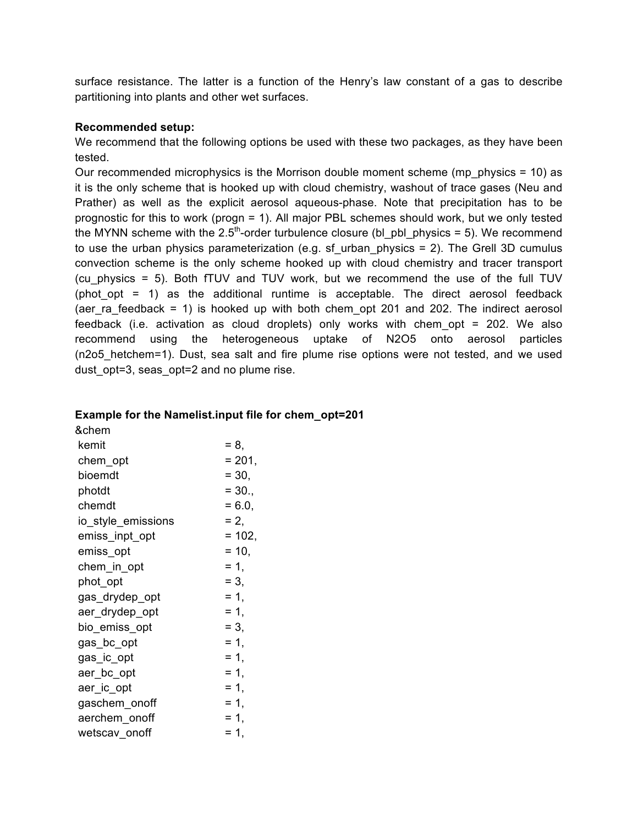surface resistance. The latter is a function of the Henry's law constant of a gas to describe partitioning into plants and other wet surfaces.

#### **Recommended setup:**

We recommend that the following options be used with these two packages, as they have been tested.

Our recommended microphysics is the Morrison double moment scheme (mp\_physics = 10) as it is the only scheme that is hooked up with cloud chemistry, washout of trace gases (Neu and Prather) as well as the explicit aerosol aqueous-phase. Note that precipitation has to be prognostic for this to work (progn = 1). All major PBL schemes should work, but we only tested the MYNN scheme with the  $2.5<sup>th</sup>$ -order turbulence closure (bl\_pbl\_physics = 5). We recommend to use the urban physics parameterization (e.g. sf urban physics  $= 2$ ). The Grell 3D cumulus convection scheme is the only scheme hooked up with cloud chemistry and tracer transport (cu physics  $= 5$ ). Both fTUV and TUV work, but we recommend the use of the full TUV (phot opt  $= 1$ ) as the additional runtime is acceptable. The direct aerosol feedback (aer ra feedback = 1) is hooked up with both chem opt 201 and 202. The indirect aerosol feedback (i.e. activation as cloud droplets) only works with chem\_opt = 202. We also recommend using the heterogeneous uptake of N2O5 onto aerosol particles (n2o5\_hetchem=1). Dust, sea salt and fire plume rise options were not tested, and we used dust opt=3, seas opt=2 and no plume rise.

#### **Example for the Namelist.input file for chem\_opt=201**

| &chem              |          |
|--------------------|----------|
| kemit              | $= 8,$   |
| chem_opt           | $= 201,$ |
| bioemdt            | $= 30,$  |
| photdt             | $= 30.,$ |
| chemdt             | $= 6.0,$ |
| io_style_emissions | $= 2,$   |
| emiss_inpt_opt     | $= 102,$ |
| emiss_opt          | $= 10,$  |
| chem_in_opt        | $= 1.$   |
| phot_opt           | $= 3.$   |
| gas_drydep_opt     | $= 1,$   |
| aer_drydep_opt     | $= 1,$   |
| bio_emiss_opt      | $= 3,$   |
| gas_bc_opt         | $= 1,$   |
| gas_ic_opt         | $= 1,$   |
| aer_bc_opt         | $= 1,$   |
| aer_ic_opt         | = 1,     |
| gaschem_onoff      | $= 1,$   |
| aerchem_onoff      | $= 1,$   |
| wetscav onoff      | $= 1,$   |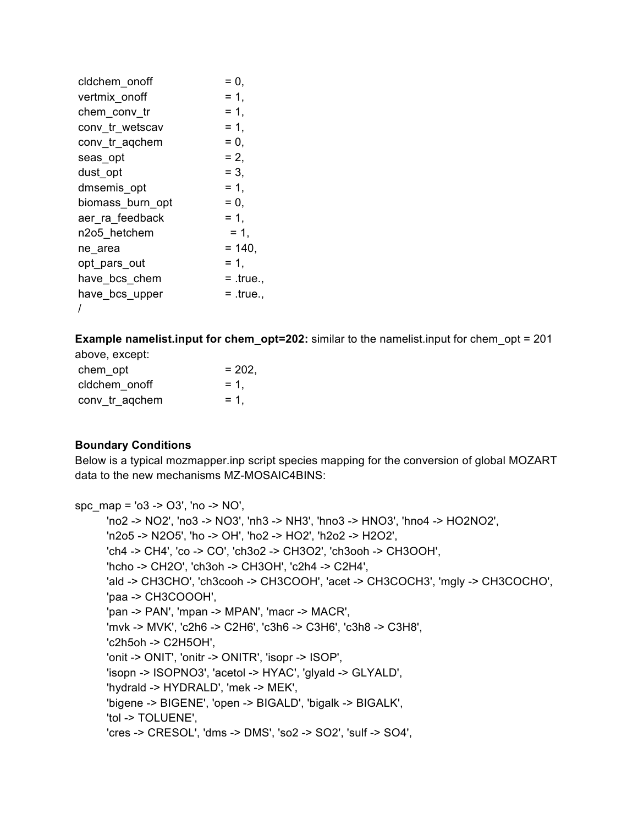| cldchem onoff    | = 0.        |
|------------------|-------------|
| vertmix onoff    | $= 1,$      |
| chem_conv_tr     | $= 1,$      |
| conv tr wetscav  | $= 1,$      |
| conv tr agchem   | $= 0,$      |
| seas opt         | $= 2.$      |
| dust opt         | $= 3.$      |
| dmsemis_opt      | $= 1,$      |
| biomass burn opt | $= 0,$      |
| aer ra feedback  | $= 1.$      |
| n2o5 hetchem     | $= 1.$      |
| ne area          | $= 140.$    |
| opt_pars_out     | $= 1.$      |
| have bcs chem    | $=$ .true., |
| have bcs upper   | $= .true.$  |
|                  |             |

**Example namelist.input for chem\_opt=202:** similar to the namelist.input for chem\_opt = 201

| above, except: |          |
|----------------|----------|
| chem opt       | $= 202.$ |
| cldchem onoff  | $= 1.$   |
| conv_tr_aqchem | $= 1.$   |

# **Boundary Conditions**

Below is a typical mozmapper.inp script species mapping for the conversion of global MOZART data to the new mechanisms MZ-MOSAIC4BINS:

spc\_map = 'o3 -> O3', 'no -> NO', 'no2 -> NO2', 'no3 -> NO3', 'nh3 -> NH3', 'hno3 -> HNO3', 'hno4 -> HO2NO2', 'n2o5 -> N2O5', 'ho -> OH', 'ho2 -> HO2', 'h2o2 -> H2O2', 'ch4 -> CH4', 'co -> CO', 'ch3o2 -> CH3O2', 'ch3ooh -> CH3OOH', 'hcho -> CH2O', 'ch3oh -> CH3OH', 'c2h4 -> C2H4', 'ald -> CH3CHO', 'ch3cooh -> CH3COOH', 'acet -> CH3COCH3', 'mgly -> CH3COCHO', 'paa -> CH3COOOH', 'pan -> PAN', 'mpan -> MPAN', 'macr -> MACR', 'mvk -> MVK', 'c2h6 -> C2H6', 'c3h6 -> C3H6', 'c3h8 -> C3H8', 'c2h5oh -> C2H5OH', 'onit -> ONIT', 'onitr -> ONITR', 'isopr -> ISOP', 'isopn -> ISOPNO3', 'acetol -> HYAC', 'glyald -> GLYALD', 'hydrald -> HYDRALD', 'mek -> MEK', 'bigene -> BIGENE', 'open -> BIGALD', 'bigalk -> BIGALK', 'tol -> TOLUENE', 'cres -> CRESOL', 'dms -> DMS', 'so2 -> SO2', 'sulf -> SO4',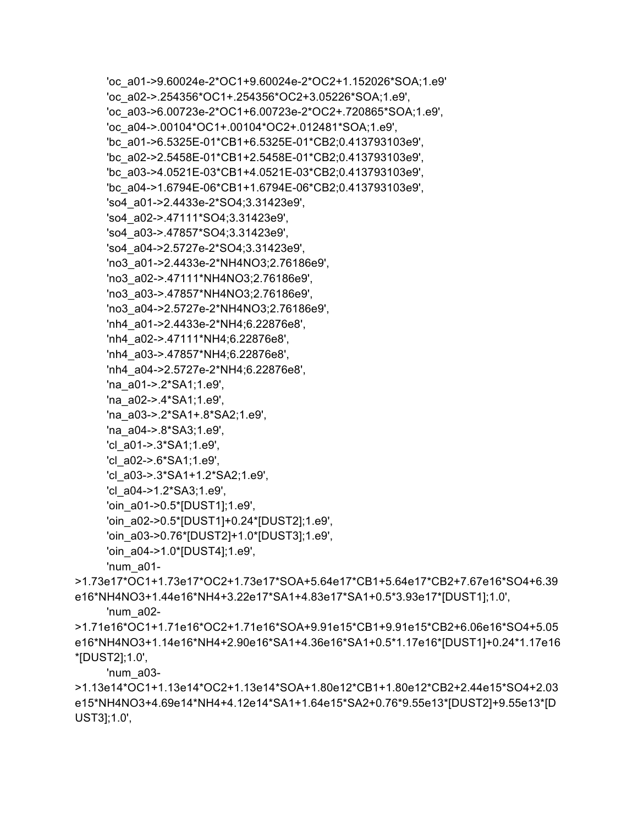'oc a01->9.60024e-2\*OC1+9.60024e-2\*OC2+1.152026\*SOA;1.e9' 'oc a02->.254356\*OC1+.254356\*OC2+3.05226\*SOA;1.e9', 'oc a03->6.00723e-2\*OC1+6.00723e-2\*OC2+.720865\*SOA;1.e9', 'oc a04->.00104\*OC1+.00104\*OC2+.012481\*SOA;1.e9', "bc a01->6.5325E-01\*CB1+6.5325E-01\*CB2;0.413793103e9', 'bc a02->2.5458E-01\*CB1+2.5458E-01\*CB2;0.413793103e9', "bc a03->4.0521E-03\*CB1+4.0521E-03\*CB2;0.413793103e9', 'bc\_a04->1.6794E-06\*CB1+1.6794E-06\*CB2;0.413793103e9', 'so4 a01->2.4433e-2\*SO4:3.31423e9', 'so4\_a02->.47111\*SO4;3.31423e9', 'so4 a03->.47857\*SO4;3.31423e9', 'so4 a04->2.5727e-2\*SO4;3.31423e9', 'no3\_a01->2.4433e-2\*NH4NO3;2.76186e9', 'no3 a02->.47111\*NH4NO3;2.76186e9', 'no3 a03->.47857\*NH4NO3:2.76186e9'. 'no3 a04->2.5727e-2\*NH4NO3;2.76186e9', 'nh4 a01->2.4433e-2\*NH4;6.22876e8', 'nh4 a02->.47111\*NH4;6.22876e8', 'nh4 a03->.47857\*NH4;6.22876e8', 'nh4 a04->2.5727e-2\*NH4;6.22876e8', 'na a01->.2\*SA1;1.e9', 'na a02->.4\*SA1;1.e9', 'na a03->.2\*SA1+.8\*SA2;1.e9', 'na a04->.8\*SA3;1.e9', 'cl a01->.3\*SA1;1.e9', 'cl a02->.6\*SA1;1.e9', 'cl a03->.3\*SA1+1.2\*SA2;1.e9', 'cl a04->1.2\*SA3;1.e9', 'oin a01->0.5\*[DUST1];1.e9', 'oin a02->0.5\*[DUST1]+0.24\*[DUST2];1.e9', 'oin a03->0.76\*[DUST2]+1.0\*[DUST3];1.e9', 'oin a04->1.0\*[DUST4];1.e9', 'num a01->1.73e17\*OC1+1.73e17\*OC2+1.73e17\*SOA+5.64e17\*CB1+5.64e17\*CB2+7.67e16\*SO4+6.39

e16\*NH4NO3+1.44e16\*NH4+3.22e17\*SA1+4.83e17\*SA1+0.5\*3.93e17\*[DUST1];1.0', 'num a02-

>1.71e16\*OC1+1.71e16\*OC2+1.71e16\*SOA+9.91e15\*CB1+9.91e15\*CB2+6.06e16\*SO4+5.05 e16\*NH4NO3+1.14e16\*NH4+2.90e16\*SA1+4.36e16\*SA1+0.5\*1.17e16\*JDUST1]+0.24\*1.17e16 \*[DUST2];1.0',

'num  $a03-$ 

>1.13e14\*OC1+1.13e14\*OC2+1.13e14\*SOA+1.80e12\*CB1+1.80e12\*CB2+2.44e15\*SO4+2.03 e15\*NH4NO3+4.69e14\*NH4+4.12e14\*SA1+1.64e15\*SA2+0.76\*9.55e13\*[DUST2]+9.55e13\*[D UST3];1.0',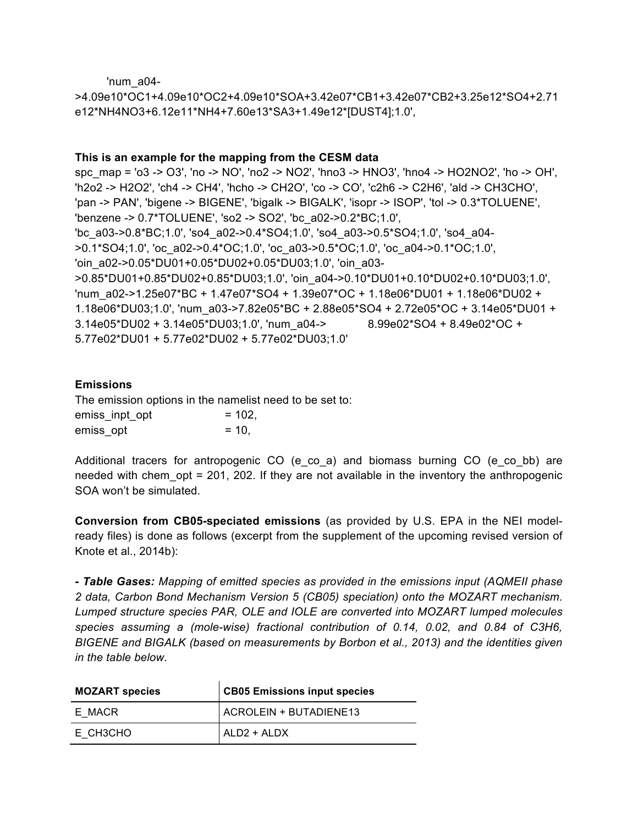'num  $a04-$ 

>4.09e10\*OC1+4.09e10\*OC2+4.09e10\*SOA+3.42e07\*CB1+3.42e07\*CB2+3.25e12\*SO4+2.71 e12\*NH4NO3+6.12e11\*NH4+7.60e13\*SA3+1.49e12\*[DUST4];1.0',

## This is an example for the mapping from the CESM data

spc map = 'o3 -> O3', 'no -> NO', 'no2 -> NO2', 'hno3 -> HNO3', 'hno4 -> HO2NO2', 'ho -> OH', "h2o2 -> H2O2', 'ch4 -> CH4', 'hcho -> CH2O', 'co -> CO', 'c2h6 -> C2H6', 'ald -> CH3CHO', 'pan -> PAN', 'bigene -> BIGENE', 'bigalk -> BIGALK', 'isopr -> ISOP', 'tol -> 0.3\*TOLUENE', 'benzene -> 0.7\*TOLUENE', 'so2 -> SO2', 'bc\_a02->0.2\*BC;1.0', 'bc a03->0.8\*BC;1.0', 'so4 a02->0.4\*SO4;1.0', 'so4 a03->0.5\*SO4;1.0', 'so4 a04->0.1\*SO4;1.0', 'oc a02->0.4\*OC;1.0', 'oc a03->0.5\*OC;1.0', 'oc a04->0.1\*OC;1.0', 'oin\_a02->0.05\*DU01+0.05\*DU02+0.05\*DU03;1.0', 'oin\_a03->0.85\*DU01+0.85\*DU02+0.85\*DU03;1.0', 'oin a04->0.10\*DU01+0.10\*DU02+0.10\*DU03;1.0', 'num\_a02->1.25e07\*BC + 1.47e07\*SO4 + 1.39e07\*OC + 1.18e06\*DU01 + 1.18e06\*DU02 + 1.18e06\*DU03;1.0', 'num\_a03->7.82e05\*BC + 2.88e05\*SO4 + 2.72e05\*OC + 3.14e05\*DU01 + 3.14e05\*DU02 + 3.14e05\*DU03;1.0', 'num a04-> 8.99e02\*SO4 + 8.49e02\*OC + 5.77e02\*DU01 + 5.77e02\*DU02 + 5.77e02\*DU03;1.0'

## **Emissions**

The emission options in the namelist need to be set to: emiss inpt opt  $= 102.$ emiss opt  $= 10,$ 

Additional tracers for antropogenic CO (e\_co\_a) and biomass burning CO (e\_co\_bb) are needed with chem\_opt = 201, 202. If they are not available in the inventory the anthropogenic SOA won't be simulated.

Conversion from CB05-speciated emissions (as provided by U.S. EPA in the NEI modelready files) is done as follows (excerpt from the supplement of the upcoming revised version of Knote et al., 2014b):

- Table Gases: Mapping of emitted species as provided in the emissions input (AQMEII phase 2 data, Carbon Bond Mechanism Version 5 (CB05) speciation) onto the MOZART mechanism. Lumped structure species PAR, OLE and IOLE are converted into MOZART lumped molecules species assuming a (mole-wise) fractional contribution of 0.14, 0.02, and 0.84 of C3H6, BIGENE and BIGALK (based on measurements by Borbon et al., 2013) and the identities given in the table below.

| <b>MOZART species</b> | <b>CB05 Emissions input species</b> |
|-----------------------|-------------------------------------|
| E MACR                | ACROLEIN + BUTADIENE13              |
| E CH3CHO              | ALD2 + ALDX                         |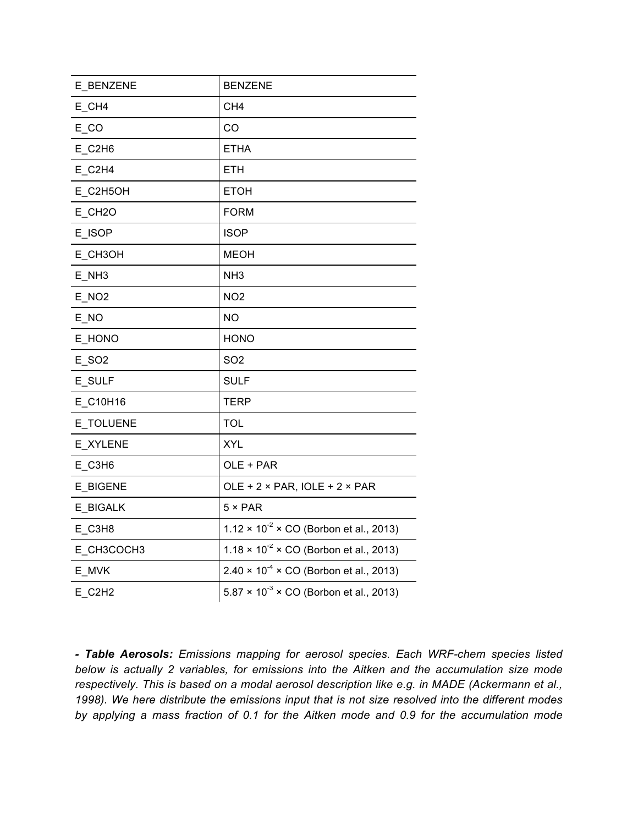| E_BENZENE           | <b>BENZENE</b>                                                   |
|---------------------|------------------------------------------------------------------|
| E_CH4               | CH <sub>4</sub>                                                  |
| $E_{\sim}$ CO       | CO                                                               |
| E_C2H6              | <b>ETHA</b>                                                      |
| E_C2H4              | <b>ETH</b>                                                       |
| E_C2H5OH            | <b>ETOH</b>                                                      |
| E_CH <sub>2</sub> O | <b>FORM</b>                                                      |
| E_ISOP              | <b>ISOP</b>                                                      |
| E_CH3OH             | <b>MEOH</b>                                                      |
| $E$ <sub>_NH3</sub> | NH <sub>3</sub>                                                  |
| E_NO <sub>2</sub>   | NO <sub>2</sub>                                                  |
| $E_N$               | <b>NO</b>                                                        |
| E_HONO              | <b>HONO</b>                                                      |
| E_SO2               | SO <sub>2</sub>                                                  |
| E SULF              | <b>SULF</b>                                                      |
| E_C10H16            | <b>TERP</b>                                                      |
| E_TOLUENE           | <b>TOL</b>                                                       |
| E_XYLENE            | <b>XYL</b>                                                       |
| E_C3H6              | OLE + PAR                                                        |
| E_BIGENE            | OLE + $2 \times$ PAR, IOLE + $2 \times$ PAR                      |
| E BIGALK            | $5 \times PAR$                                                   |
| E_C3H8              | $1.12 \times 10^{-2} \times CO$ (Borbon et al., 2013)            |
| E_CH3COCH3          | 1.18 $\times$ 10 <sup>-2</sup> $\times$ CO (Borbon et al., 2013) |
| E_MVK               | $2.40 \times 10^{-4} \times CO$ (Borbon et al., 2013)            |
| $E_C$ C2H2          | $5.87 \times 10^{-3} \times CO$ (Borbon et al., 2013)            |

*- Table Aerosols: Emissions mapping for aerosol species. Each WRF-chem species listed below is actually 2 variables, for emissions into the Aitken and the accumulation size mode respectively. This is based on a modal aerosol description like e.g. in MADE (Ackermann et al., 1998). We here distribute the emissions input that is not size resolved into the different modes by applying a mass fraction of 0.1 for the Aitken mode and 0.9 for the accumulation mode*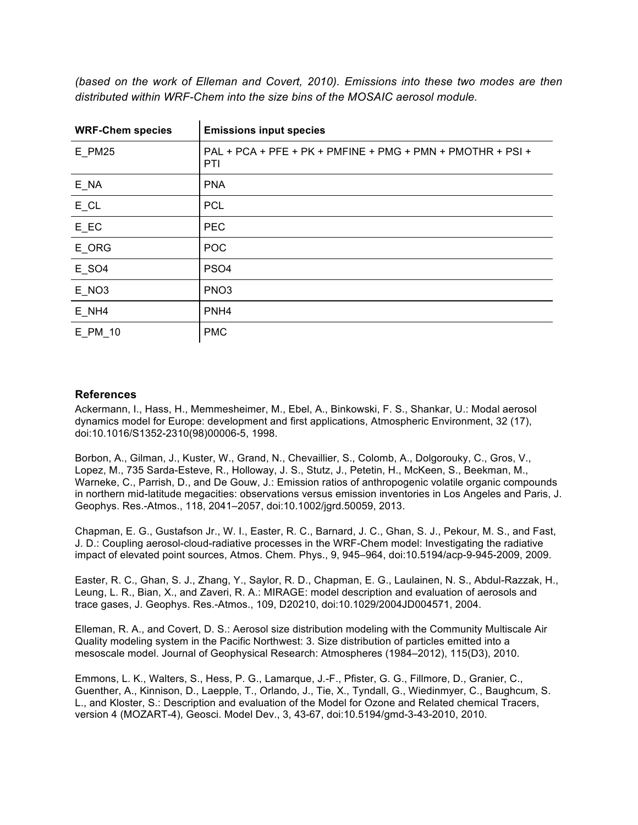| <b>WRF-Chem species</b>           | <b>Emissions input species</b>                                    |
|-----------------------------------|-------------------------------------------------------------------|
| $E_P$ M25                         | PAL + PCA + PFE + PK + PMFINE + PMG + PMN + PMOTHR + PSI +<br>PTI |
| $E$ <sub>_NA</sub>                | <b>PNA</b>                                                        |
| $E$ <sub>_CL</sub>                | <b>PCL</b>                                                        |
| $E$ <sub><math>E</math></sub> $C$ | <b>PEC</b>                                                        |
| E_ORG                             | POC                                                               |
| $E_S$ O4                          | PS <sub>O4</sub>                                                  |
| $E$ <sub>_NO3</sub>               | PNO <sub>3</sub>                                                  |
| E NH4                             | PNH <sub>4</sub>                                                  |
| E PM 10                           | <b>PMC</b>                                                        |

*(based on the work of Elleman and Covert, 2010). Emissions into these two modes are then distributed within WRF-Chem into the size bins of the MOSAIC aerosol module.*

#### **References**

Ackermann, I., Hass, H., Memmesheimer, M., Ebel, A., Binkowski, F. S., Shankar, U.: Modal aerosol dynamics model for Europe: development and first applications, Atmospheric Environment, 32 (17), doi:10.1016/S1352-2310(98)00006-5, 1998.

Borbon, A., Gilman, J., Kuster, W., Grand, N., Chevaillier, S., Colomb, A., Dolgorouky, C., Gros, V., Lopez, M., 735 Sarda-Esteve, R., Holloway, J. S., Stutz, J., Petetin, H., McKeen, S., Beekman, M., Warneke, C., Parrish, D., and De Gouw, J.: Emission ratios of anthropogenic volatile organic compounds in northern mid-latitude megacities: observations versus emission inventories in Los Angeles and Paris, J. Geophys. Res.-Atmos., 118, 2041–2057, doi:10.1002/jgrd.50059, 2013.

Chapman, E. G., Gustafson Jr., W. I., Easter, R. C., Barnard, J. C., Ghan, S. J., Pekour, M. S., and Fast, J. D.: Coupling aerosol-cloud-radiative processes in the WRF-Chem model: Investigating the radiative impact of elevated point sources, Atmos. Chem. Phys., 9, 945–964, doi:10.5194/acp-9-945-2009, 2009.

Easter, R. C., Ghan, S. J., Zhang, Y., Saylor, R. D., Chapman, E. G., Laulainen, N. S., Abdul-Razzak, H., Leung, L. R., Bian, X., and Zaveri, R. A.: MIRAGE: model description and evaluation of aerosols and trace gases, J. Geophys. Res.-Atmos., 109, D20210, doi:10.1029/2004JD004571, 2004.

Elleman, R. A., and Covert, D. S.: Aerosol size distribution modeling with the Community Multiscale Air Quality modeling system in the Pacific Northwest: 3. Size distribution of particles emitted into a mesoscale model. Journal of Geophysical Research: Atmospheres (1984–2012), 115(D3), 2010.

Emmons, L. K., Walters, S., Hess, P. G., Lamarque, J.-F., Pfister, G. G., Fillmore, D., Granier, C., Guenther, A., Kinnison, D., Laepple, T., Orlando, J., Tie, X., Tyndall, G., Wiedinmyer, C., Baughcum, S. L., and Kloster, S.: Description and evaluation of the Model for Ozone and Related chemical Tracers, version 4 (MOZART-4), Geosci. Model Dev., 3, 43-67, doi:10.5194/gmd-3-43-2010, 2010.